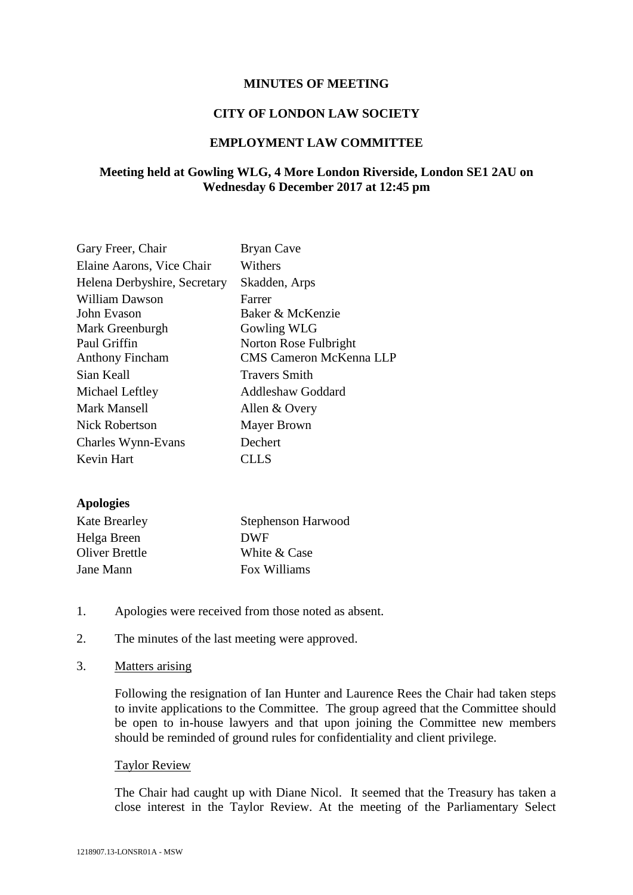# **MINUTES OF MEETING**

#### **CITY OF LONDON LAW SOCIETY**

# **EMPLOYMENT LAW COMMITTEE**

# **Meeting held at Gowling WLG, 4 More London Riverside, London SE1 2AU on Wednesday 6 December 2017 at 12:45 pm**

| Bryan Cave                     |
|--------------------------------|
| Withers                        |
| Skadden, Arps                  |
| Farrer                         |
| Baker & McKenzie               |
| <b>Gowling WLG</b>             |
| Norton Rose Fulbright          |
| <b>CMS Cameron McKenna LLP</b> |
| <b>Travers Smith</b>           |
| <b>Addleshaw Goddard</b>       |
| Allen & Overy                  |
| Mayer Brown                    |
| Dechert                        |
| CLL S                          |
|                                |

#### **Apologies**

| <b>Kate Brearley</b> | <b>Stephenson Harwood</b> |
|----------------------|---------------------------|
| Helga Breen          | <b>DWF</b>                |
| Oliver Brettle       | White & Case              |
| Jane Mann            | Fox Williams              |

- 1. Apologies were received from those noted as absent.
- 2. The minutes of the last meeting were approved.
- 3. Matters arising

Following the resignation of Ian Hunter and Laurence Rees the Chair had taken steps to invite applications to the Committee. The group agreed that the Committee should be open to in-house lawyers and that upon joining the Committee new members should be reminded of ground rules for confidentiality and client privilege.

#### Taylor Review

The Chair had caught up with Diane Nicol. It seemed that the Treasury has taken a close interest in the Taylor Review. At the meeting of the Parliamentary Select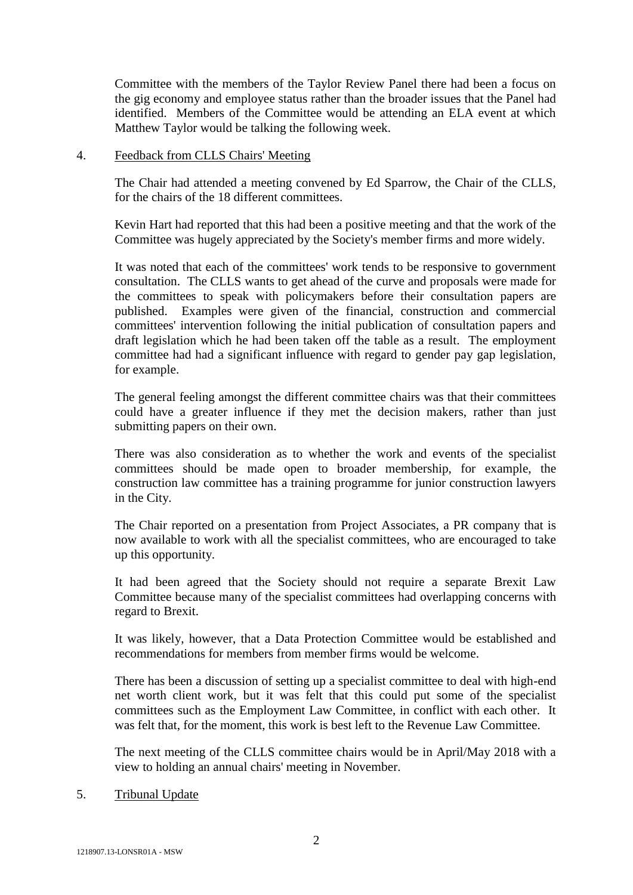Committee with the members of the Taylor Review Panel there had been a focus on the gig economy and employee status rather than the broader issues that the Panel had identified. Members of the Committee would be attending an ELA event at which Matthew Taylor would be talking the following week.

## 4. Feedback from CLLS Chairs' Meeting

The Chair had attended a meeting convened by Ed Sparrow, the Chair of the CLLS, for the chairs of the 18 different committees.

Kevin Hart had reported that this had been a positive meeting and that the work of the Committee was hugely appreciated by the Society's member firms and more widely.

It was noted that each of the committees' work tends to be responsive to government consultation. The CLLS wants to get ahead of the curve and proposals were made for the committees to speak with policymakers before their consultation papers are published. Examples were given of the financial, construction and commercial committees' intervention following the initial publication of consultation papers and draft legislation which he had been taken off the table as a result. The employment committee had had a significant influence with regard to gender pay gap legislation, for example.

The general feeling amongst the different committee chairs was that their committees could have a greater influence if they met the decision makers, rather than just submitting papers on their own.

There was also consideration as to whether the work and events of the specialist committees should be made open to broader membership, for example, the construction law committee has a training programme for junior construction lawyers in the City.

The Chair reported on a presentation from Project Associates, a PR company that is now available to work with all the specialist committees, who are encouraged to take up this opportunity.

It had been agreed that the Society should not require a separate Brexit Law Committee because many of the specialist committees had overlapping concerns with regard to Brexit.

It was likely, however, that a Data Protection Committee would be established and recommendations for members from member firms would be welcome.

There has been a discussion of setting up a specialist committee to deal with high-end net worth client work, but it was felt that this could put some of the specialist committees such as the Employment Law Committee, in conflict with each other. It was felt that, for the moment, this work is best left to the Revenue Law Committee.

The next meeting of the CLLS committee chairs would be in April/May 2018 with a view to holding an annual chairs' meeting in November.

#### 5. Tribunal Update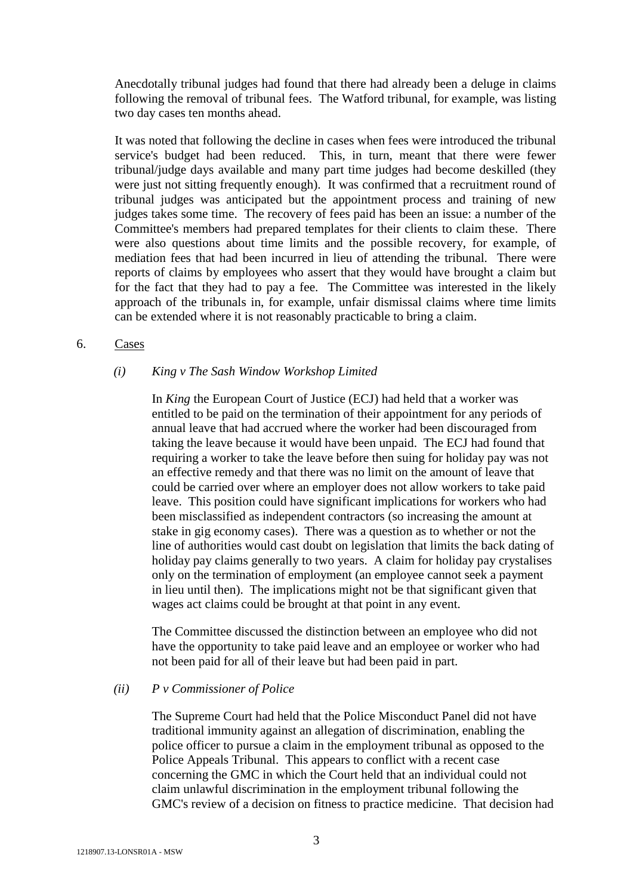Anecdotally tribunal judges had found that there had already been a deluge in claims following the removal of tribunal fees. The Watford tribunal, for example, was listing two day cases ten months ahead.

It was noted that following the decline in cases when fees were introduced the tribunal service's budget had been reduced. This, in turn, meant that there were fewer tribunal/judge days available and many part time judges had become deskilled (they were just not sitting frequently enough). It was confirmed that a recruitment round of tribunal judges was anticipated but the appointment process and training of new judges takes some time. The recovery of fees paid has been an issue: a number of the Committee's members had prepared templates for their clients to claim these. There were also questions about time limits and the possible recovery, for example, of mediation fees that had been incurred in lieu of attending the tribunal. There were reports of claims by employees who assert that they would have brought a claim but for the fact that they had to pay a fee. The Committee was interested in the likely approach of the tribunals in, for example, unfair dismissal claims where time limits can be extended where it is not reasonably practicable to bring a claim.

## 6. Cases

## *(i) King v The Sash Window Workshop Limited*

In *King* the European Court of Justice (ECJ) had held that a worker was entitled to be paid on the termination of their appointment for any periods of annual leave that had accrued where the worker had been discouraged from taking the leave because it would have been unpaid. The ECJ had found that requiring a worker to take the leave before then suing for holiday pay was not an effective remedy and that there was no limit on the amount of leave that could be carried over where an employer does not allow workers to take paid leave. This position could have significant implications for workers who had been misclassified as independent contractors (so increasing the amount at stake in gig economy cases). There was a question as to whether or not the line of authorities would cast doubt on legislation that limits the back dating of holiday pay claims generally to two years. A claim for holiday pay crystalises only on the termination of employment (an employee cannot seek a payment in lieu until then). The implications might not be that significant given that wages act claims could be brought at that point in any event.

The Committee discussed the distinction between an employee who did not have the opportunity to take paid leave and an employee or worker who had not been paid for all of their leave but had been paid in part.

#### *(ii) P v Commissioner of Police*

The Supreme Court had held that the Police Misconduct Panel did not have traditional immunity against an allegation of discrimination, enabling the police officer to pursue a claim in the employment tribunal as opposed to the Police Appeals Tribunal. This appears to conflict with a recent case concerning the GMC in which the Court held that an individual could not claim unlawful discrimination in the employment tribunal following the GMC's review of a decision on fitness to practice medicine. That decision had